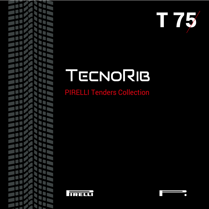

## TECNORIB

PIRELLI Tenders Collection



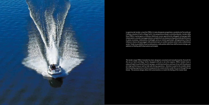*The tender range PIRELLI branded has been designed, conceived and manufactured by Tecnorib for the use on Yacth and Mega Yachts. Equipped with jet or ster drive engines, PIRELLI tenders have a reduced height to perfectly fit yachts' garages, combining handiness and ease of use with the pleasure of a high-performing as well as fully safe driving experience. Attention is paid to the smallest detail, from boarding ergonomics to finest components for a total comfort under the sun or through the sea breeze. The exclusive design allows full customization, to match the feeling of the master boat.*



La gamma dei tender a marchio PIRELLI è stata disegnata progettata e prodotta da Tecnorib per l'utilizzo a bordo di Yacht e Mega Yacht. Con propulsione idrojet e entrofuoribordo, i tender della linea PIRELLI mantengono un'altezza ridotta per essere agevolmente alloggiati nei garage delle imbarcazioni, unendo maneggevolezza e semplicità d'uso al piacere di guida ad alte performance in piena sicurezza. L'attenzione al dettaglio arriva ai minimi particolari, all'ergonomia in fase di imbarco e sbarco dei passeggeri, alle protezioni per un confort assoluto sotto il sole o nella brezza serale. Totale la possibilità di personalizzazione, nella pulizia delle linee dell'esclusivo design, per adattarsi al feeling dell'imbarcazione principale.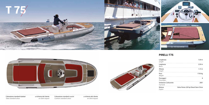





Colorazione standard tubolari a richiesta del cliente *Tubes standard colour on client request*

Colorazione standard cuscini a richiesta del cliente *Cushions standard colour on client request*

. . . . . . . . .

## **PIRELLI T75**

| Lunghezza<br>Lenght               | 7,50 m                                |
|-----------------------------------|---------------------------------------|
| Larghezza<br>Beam                 | $2,50 \, \text{m}$                    |
| Altezza<br>Height                 | $1,15 \; m$                           |
| Peso<br>Weight                    | 1750 kg                               |
| Passeggeri<br>Passengers          | 8                                     |
| Serbatoio Carburante<br>Fuel tank | 200 l                                 |
| Motore<br>Engine                  | Volvo Penta 220 hp Diesel Stern Drive |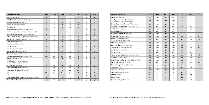| <b>Accessori Accessories</b>                                               | J29                       | J33                       | <b>J39</b>         | <b>J45</b>                | <b>T45</b>         | <b>T65</b>                | <b>T75</b>         |
|----------------------------------------------------------------------------|---------------------------|---------------------------|--------------------|---------------------------|--------------------|---------------------------|--------------------|
| Contagiri Rev counter                                                      | $\boldsymbol{\mathsf{x}}$ | $\boldsymbol{\mathsf{x}}$ | $\mathsf{x}$       | $\boldsymbol{\mathsf{x}}$ | $\mathsf{x}$       | X                         | $\mathsf{x}$       |
| Indicatore livello carburante Fuel gauge                                   | $\boldsymbol{\mathsf{x}}$ | $\mathsf{x}$              | $\mathsf{x}$       | $\boldsymbol{\mathsf{x}}$ | $\mathsf{x}$       | X                         | $\mathsf{x}$       |
| Stacco di sicurezza Safety cut-off                                         | X                         | x                         | $\pmb{\mathsf{X}}$ | x                         | X                  | x                         | X                  |
| Pulsantiera Push-button panel                                              | $\boldsymbol{\mathsf{x}}$ | x                         | X                  | $\boldsymbol{\mathsf{x}}$ | $\mathsf{x}$       | X                         | $\mathsf{x}$       |
| <b>Blower Blower</b>                                                       | $\boldsymbol{\mathsf{x}}$ | x                         | X                  | nd                        | nd                 | nd                        | nd                 |
| Pompa sentina elettrica Electric bilge pump                                | $\boldsymbol{\mathsf{x}}$ | x                         | $\pmb{\mathsf{X}}$ | $\boldsymbol{\mathsf{x}}$ | X                  | x                         | $\mathsf{x}$       |
| Attacco pompa risciacquo motore Engine rinse joint                         | $\boldsymbol{\mathsf{x}}$ | X                         | X                  | opt                       | opt                | opt                       | opt                |
| Ganci per sollevamento 4/6 Lifting hooks 4/6                               | $\boldsymbol{\mathsf{x}}$ | x                         | X                  | $\boldsymbol{\mathsf{x}}$ | $\mathsf{x}$       | x                         | $\mathsf{x}$       |
| Bitte a scomparsa inox a poppa Stern folding cleats                        | $\boldsymbol{\mathsf{x}}$ | x                         | $\pmb{\mathsf{X}}$ | x                         | X                  | x                         | X                  |
| Golfari per ancoraggio Anchoring eyebolts                                  | X                         | X                         | X                  | x                         | X                  | x                         | $\mathsf{x}$       |
| Gancio sci nautico Ski hook                                                | X                         | X                         | X                  | $\boldsymbol{\mathsf{x}}$ | X                  | x                         | X                  |
| Stacca batteria Battery switch                                             | $\boldsymbol{\mathsf{X}}$ | $\boldsymbol{\mathsf{x}}$ | $\mathsf{x}$       | $\boldsymbol{\mathsf{x}}$ | $\mathsf{x}$       | x                         | $\mathsf{x}$       |
| <b>Batteria Battery</b>                                                    | X                         | X                         | $\pmb{\mathsf{X}}$ | x                         | $\pmb{\mathsf{X}}$ | x                         | $\pmb{\mathsf{X}}$ |
| Luci di via Navigation lights                                              | X                         | X                         | X                  | x                         | X                  | x                         | $\mathsf{x}$       |
| Scaletta di poppa Bathing ladder                                           | X                         | x                         | $\mathsf{x}$       | x                         | X                  | x                         | $\pmb{\mathsf{X}}$ |
| Maniglioni poppa Stern handrails                                           | $\mathsf{x}$              | $\mathsf{x}$              | $\mathsf{x}$       | X                         | $\mathsf{x}$       | $\boldsymbol{\mathsf{x}}$ | $\mathsf{x}$       |
| Colorazione personalizzata* Custom colours*                                | opt                       | opt                       | opt                | opt                       | X                  | x                         | X                  |
| Spray hood Spray hood                                                      | nd                        | nd                        | nd                 | nd                        | nd                 | x                         | $\mathsf{x}$       |
| Vericello elettrico con contacatena<br>Electic windlass with chain counter | nd                        | nd                        | nd                 | nd                        | nd                 | nd                        | X                  |
| Elica di prua Bow thruster                                                 | nd                        | nd                        | nd                 | nd                        | nd                 | nd                        | X                  |
| Consolle abbattibile Folding console                                       | nd                        | nd                        | nd                 | nd                        | nd                 | x                         | $\mathsf{x}$       |
| Maniglia a ombrello Boarding Handle                                        | nd                        | nd                        | nd                 | opt                       | opt                | x                         | X                  |
| <b>VHF</b>                                                                 | opt                       | opt                       | opt                | opt                       | $\mathsf{x}$       | $\mathsf{x}$              | $\mathsf{x}$       |
| <b>AIS</b>                                                                 | nd                        | nd                        | nd                 | opt                       | opt                | opt                       | opt                |
| Cruscotto in effetto carbonio Carbon look dashboard                        | $\mathsf{x}$              | X                         | $\mathsf{x}$       | X                         | nd                 | nd                        | nd                 |
| Nome MY sui tubolari Boat name on tubes                                    | opt                       | opt                       | opt                | opt                       | opt                | opt                       | opt                |

| <b>Accessori Accessories</b>                                              |
|---------------------------------------------------------------------------|
| Spidometro Speed log                                                      |
| GPS Raymarine + carta Mediterraneo<br>GPS Raymarine + Mediterranian chart |
| Scandaglio di profondità Digital depth sounder                            |
| Pacchetto musicale Fusion Fusion music pack                               |
| Hi Grip Deck Hi Grip Deck                                                 |
| Teak massello Teak                                                        |
| Telo copertura battello Boat cover                                        |
| Selle in legno Wooden cradles                                             |
| Selle in acciaio inox estraibili<br>Removable stainless steel cradles     |
| Kit di traino Towing kit                                                  |
| Cime per sollevamento Lifting strops                                      |
| Luci sommerse Underwater lights                                           |
| Luci di cortesia Deck lights                                              |
| Ancora Anchor                                                             |
| Mantenitore di carica Battery charger/optimiser                           |
| <b>Batteria AGM AGM battery</b>                                           |
| Dispositivo di gonfiaggio elettrico Electric inflator                     |
| Pompa manuale Manual pump                                                 |
| Remo telescopico Telescopic paddle                                        |
| Frigorifero Fridge                                                        |
| Presa 12V 12V socket                                                      |
| Carica batteria Battery charger                                           |
| <b>Bussola</b> Compass                                                    |
| Doccia Shower                                                             |
| Tendalino di poppa Stern bimini                                           |

| <b>Accessori Accessories</b>                                              | <b>J29</b>   | J33 | <b>J39</b> | <b>J45</b> | <b>T45</b>   | T65 | <b>T75</b>         |
|---------------------------------------------------------------------------|--------------|-----|------------|------------|--------------|-----|--------------------|
| Spidometro Speed log                                                      | $\mathsf{x}$ | x   | X          | opt        | opt          | x   | X                  |
| GPS Raymarine + carta Mediterraneo<br>GPS Raymarine + Mediterranian chart | opt          | opt | opt        | opt        | X            | x   | $\pmb{\mathsf{x}}$ |
| Scandaglio di profondità Digital depth sounder                            | opt          | opt | opt        | opt        | X            | x   | $\pmb{\mathsf{x}}$ |
| Pacchetto musicale Fusion Fusion music pack                               | opt          | opt | opt        | opt        | opt          | opt | $\mathsf{x}$       |
| Hi Grip Deck Hi Grip Deck                                                 | opt          | opt | opt        | opt        | opt          | opt | opt                |
| Teak massello Teak                                                        | opt          | opt | opt        | opt        | X            | x   | X                  |
| Telo copertura battello Boat cover                                        | opt          | opt | opt        | opt        | X            | x   | $\pmb{\mathsf{x}}$ |
| Selle in legno Wooden cradles                                             | opt          | opt | opt        | opt        | opt          | opt | opt                |
| Selle in acciaio inox estraibili<br>Removable stainless steel cradles     | opt          | opt | opt        | opt        | nd           | nd  | nd                 |
| Kit di traino Towing kit                                                  | opt          | opt | opt        | opt        | X            | x   | $\pmb{\mathsf{x}}$ |
| Cime per sollevamento Lifting strops                                      | opt          | opt | opt        | opt        | opt          | opt | opt                |
| Luci sommerse Underwater lights                                           | opt          | opt | opt        | opt        | opt          | opt | opt                |
| Luci di cortesia Deck lights                                              | opt          | opt | opt        | opt        | opt          | opt | opt                |
| Ancora Anchor                                                             | opt          | opt | opt        | opt        | opt          | opt | X                  |
| Mantenitore di carica Battery charger/optimiser                           | opt          | opt | opt        | opt        | opt          | nd  | nd                 |
| <b>Batteria AGM AGM battery</b>                                           | opt          | opt | opt        | opt        | opt          | opt | opt                |
| Dispositivo di gonfiaggio elettrico Electric inflator                     | opt          | opt | opt        | X          | opt          | x   | X                  |
| Pompa manuale Manual pump                                                 | opt          | opt | opt        | opt        | opt          | opt | opt                |
| Remo telescopico Telescopic paddle                                        | opt          | opt | opt        | opt        | opt          | opt | opt                |
| Frigorifero Fridge                                                        | nd           | nd  | nd         | nd         | nd           | nd  | $\pmb{\mathsf{x}}$ |
| Presa 12V 12V socket                                                      | opt          | opt | opt        | opt        | $\mathsf{x}$ | x   | X                  |
| Carica batteria Battery charger                                           | nd           | nd  | nd         | nd         | nd           | x   | X                  |
| <b>Bussola</b> Compass                                                    | nd           | nd  | nd         | nd         | nd           | nd  | $\pmb{\mathsf{x}}$ |
| Doccia Shower                                                             | nd           | nd  | nd         | nd         | nd           | opt | X                  |
| Tendalino di poppa Stern bimini                                           | nd           | nd  | nd         | nd         | nd           | opt | X                  |